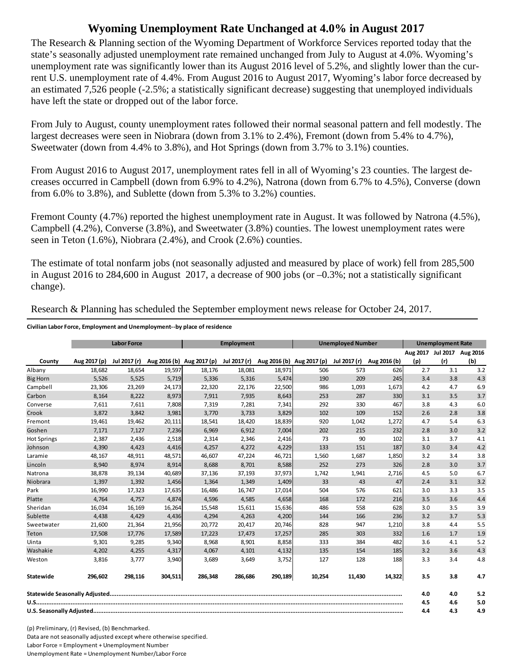## **Wyoming Unemployment Rate Unchanged at 4.0% in August 2017**

The Research & Planning section of the Wyoming Department of Workforce Services reported today that the state's seasonally adjusted unemployment rate remained unchanged from July to August at 4.0%. Wyoming's unemployment rate was significantly lower than its August 2016 level of 5.2%, and slightly lower than the current U.S. unemployment rate of 4.4%. From August 2016 to August 2017, Wyoming's labor force decreased by an estimated 7,526 people (-2.5%; a statistically significant decrease) suggesting that unemployed individuals have left the state or dropped out of the labor force.

From July to August, county unemployment rates followed their normal seasonal pattern and fell modestly. The largest decreases were seen in Niobrara (down from 3.1% to 2.4%), Fremont (down from 5.4% to 4.7%), Sweetwater (down from 4.4% to 3.8%), and Hot Springs (down from 3.7% to 3.1%) counties.

From August 2016 to August 2017, unemployment rates fell in all of Wyoming's 23 counties. The largest decreases occurred in Campbell (down from 6.9% to 4.2%), Natrona (down from 6.7% to 4.5%), Converse (down from 6.0% to 3.8%), and Sublette (down from 5.3% to 3.2%) counties.

Fremont County (4.7%) reported the highest unemployment rate in August. It was followed by Natrona (4.5%), Campbell (4.2%), Converse (3.8%), and Sweetwater (3.8%) counties. The lowest unemployment rates were seen in Teton (1.6%), Niobrara (2.4%), and Crook (2.6%) counties.

The estimate of total nonfarm jobs (not seasonally adjusted and measured by place of work) fell from 285,500 in August 2016 to 284,600 in August 2017, a decrease of 900 jobs (or –0.3%; not a statistically significant change).

| Research & Planning has scheduled the September employment news release for October 24, 2017. |  |  |
|-----------------------------------------------------------------------------------------------|--|--|
|                                                                                               |  |  |

**Civilian Labor Force, Employment and Unemployment‐‐by place of residence**

|                    |              | <b>Labor Force</b> |         |                           | <b>Employment</b> |         | <b>Unemployed Number</b>               |              | <b>Unemployment Rate</b> |     |                            |     |
|--------------------|--------------|--------------------|---------|---------------------------|-------------------|---------|----------------------------------------|--------------|--------------------------|-----|----------------------------|-----|
|                    |              |                    |         |                           |                   |         |                                        |              |                          |     | Aug 2017 Jul 2017 Aug 2016 |     |
| County             | Aug 2017 (p) | Jul 2017 (r)       |         | Aug 2016 (b) Aug 2017 (p) |                   |         | Jul 2017 (r) Aug 2016 (b) Aug 2017 (p) | Jul 2017 (r) | Aug 2016 (b)             | (p) | (r)                        | (b) |
| Albany             | 18,682       | 18,654             | 19,597  | 18,176                    | 18,081            | 18,971  | 506                                    | 573          | 626                      | 2.7 | 3.1                        | 3.2 |
| <b>Big Horn</b>    | 5,526        | 5,525              | 5,719   | 5,336                     | 5,316             | 5,474   | 190                                    | 209          | 245                      | 3.4 | 3.8                        | 4.3 |
| Campbell           | 23,306       | 23,269             | 24,173  | 22,320                    | 22,176            | 22,500  | 986                                    | 1,093        | 1,673                    | 4.2 | 4.7                        | 6.9 |
| Carbon             | 8.164        | 8,222              | 8,973   | 7,911                     | 7,935             | 8,643   | 253                                    | 287          | 330                      | 3.1 | 3.5                        | 3.7 |
| Converse           | 7,611        | 7,611              | 7,808   | 7,319                     | 7,281             | 7,341   | 292                                    | 330          | 467                      | 3.8 | 4.3                        | 6.0 |
| Crook              | 3.872        | 3,842              | 3,981   | 3,770                     | 3,733             | 3,829   | 102                                    | 109          | 152                      | 2.6 | 2.8                        | 3.8 |
| Fremont            | 19,461       | 19,462             | 20,111  | 18,541                    | 18,420            | 18,839  | 920                                    | 1,042        | 1,272                    | 4.7 | 5.4                        | 6.3 |
| Goshen             | 7,171        | 7,127              | 7,236   | 6,969                     | 6,912             | 7,004   | 202                                    | 215          | 232                      | 2.8 | 3.0                        | 3.2 |
| <b>Hot Springs</b> | 2,387        | 2,436              | 2,518   | 2,314                     | 2,346             | 2,416   | 73                                     | 90           | 102                      | 3.1 | 3.7                        | 4.1 |
| Johnson            | 4,390        | 4,423              | 4,416   | 4,257                     | 4,272             | 4,229   | 133                                    | 151          | 187                      | 3.0 | 3.4                        | 4.2 |
| Laramie            | 48,167       | 48,911             | 48,571  | 46,607                    | 47,224            | 46,721  | 1,560                                  | 1,687        | 1,850                    | 3.2 | 3.4                        | 3.8 |
| Lincoln            | 8,940        | 8,974              | 8,914   | 8,688                     | 8,701             | 8,588   | 252                                    | 273          | 326                      | 2.8 | 3.0                        | 3.7 |
| Natrona            | 38,878       | 39,134             | 40,689  | 37,136                    | 37,193            | 37,973  | 1,742                                  | 1,941        | 2,716                    | 4.5 | 5.0                        | 6.7 |
| Niobrara           | 1,397        | 1,392              | 1,456   | 1,364                     | 1,349             | 1,409   | 33                                     | 43           | 47                       | 2.4 | 3.1                        | 3.2 |
| Park               | 16,990       | 17,323             | 17,635  | 16,486                    | 16,747            | 17,014  | 504                                    | 576          | 621                      | 3.0 | 3.3                        | 3.5 |
| Platte             | 4,764        | 4,757              | 4,874   | 4,596                     | 4,585             | 4,658   | 168                                    | 172          | 216                      | 3.5 | 3.6                        | 4.4 |
| Sheridan           | 16.034       | 16,169             | 16,264  | 15,548                    | 15,611            | 15,636  | 486                                    | 558          | 628                      | 3.0 | 3.5                        | 3.9 |
| Sublette           | 4,438        | 4,429              | 4,436   | 4,294                     | 4,263             | 4,200   | 144                                    | 166          | 236                      | 3.2 | 3.7                        | 5.3 |
| Sweetwater         | 21,600       | 21,364             | 21,956  | 20,772                    | 20,417            | 20,746  | 828                                    | 947          | 1,210                    | 3.8 | 4.4                        | 5.5 |
| Teton              | 17,508       | 17,776             | 17,589  | 17,223                    | 17,473            | 17,257  | 285                                    | 303          | 332                      | 1.6 | 1.7                        | 1.9 |
| Uinta              | 9,301        | 9,285              | 9,340   | 8,968                     | 8,901             | 8,858   | 333                                    | 384          | 482                      | 3.6 | 4.1                        | 5.2 |
| Washakie           | 4,202        | 4,255              | 4,317   | 4,067                     | 4,101             | 4,132   | 135                                    | 154          | 185                      | 3.2 | 3.6                        | 4.3 |
| Weston             | 3,816        | 3,777              | 3,940   | 3,689                     | 3,649             | 3,752   | 127                                    | 128          | 188                      | 3.3 | 3.4                        | 4.8 |
| Statewide          | 296,602      | 298,116            | 304,511 | 286,348                   | 286,686           | 290,189 | 10,254                                 | 11,430       | 14,322                   | 3.5 | 3.8                        | 4.7 |
|                    |              |                    |         |                           |                   |         |                                        |              |                          | 4.0 | 4.0                        | 5.2 |
|                    |              |                    |         |                           |                   |         |                                        |              |                          | 4.5 | 4.6                        | 5.0 |
|                    |              |                    |         |                           |                   |         |                                        |              |                          | 4.4 | 4.3                        | 4.9 |

(p) Preliminary, (r) Revised, (b) Benchmarked. Data are not seasonally adjusted except where otherwise specified. Labor Force = Employment + Unemployment Number Unemployment Rate = Unemployment Number/Labor Force